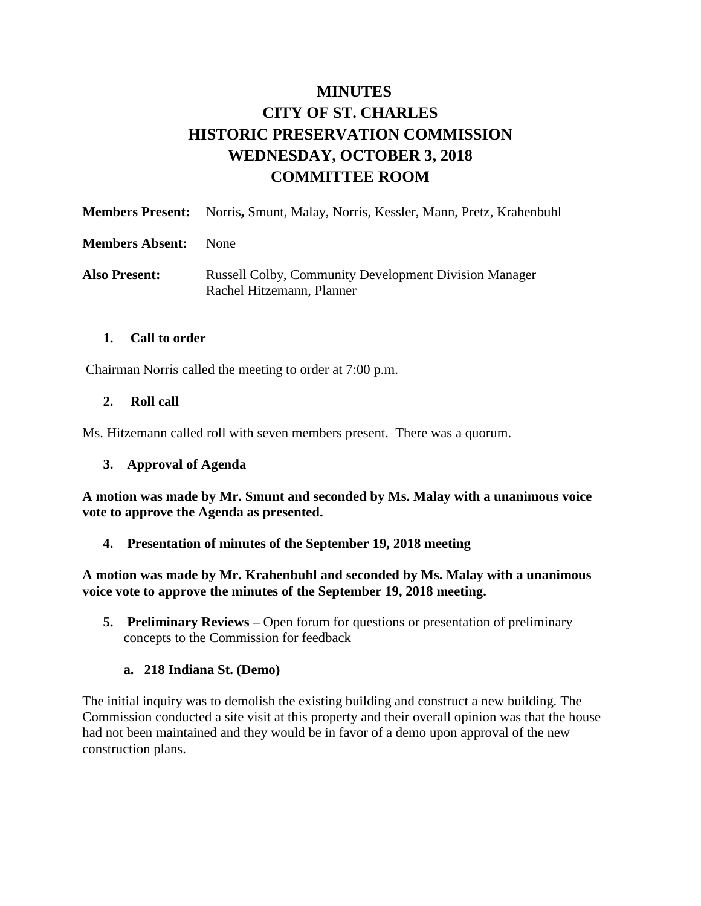# **MINUTES CITY OF ST. CHARLES HISTORIC PRESERVATION COMMISSION WEDNESDAY, OCTOBER 3, 2018 COMMITTEE ROOM**

|                        | <b>Members Present:</b> Norris, Smunt, Malay, Norris, Kessler, Mann, Pretz, Krahenbuhl    |
|------------------------|-------------------------------------------------------------------------------------------|
| <b>Members Absent:</b> | <b>None</b>                                                                               |
| <b>Also Present:</b>   | <b>Russell Colby, Community Development Division Manager</b><br>Rachel Hitzemann, Planner |

### **1. Call to order**

Chairman Norris called the meeting to order at 7:00 p.m.

### **2. Roll call**

Ms. Hitzemann called roll with seven members present. There was a quorum.

### **3. Approval of Agenda**

**A motion was made by Mr. Smunt and seconded by Ms. Malay with a unanimous voice vote to approve the Agenda as presented.**

### **4. Presentation of minutes of the September 19, 2018 meeting**

**A motion was made by Mr. Krahenbuhl and seconded by Ms. Malay with a unanimous voice vote to approve the minutes of the September 19, 2018 meeting.** 

**5. Preliminary Reviews –** Open forum for questions or presentation of preliminary concepts to the Commission for feedback

### **a. 218 Indiana St. (Demo)**

The initial inquiry was to demolish the existing building and construct a new building. The Commission conducted a site visit at this property and their overall opinion was that the house had not been maintained and they would be in favor of a demo upon approval of the new construction plans.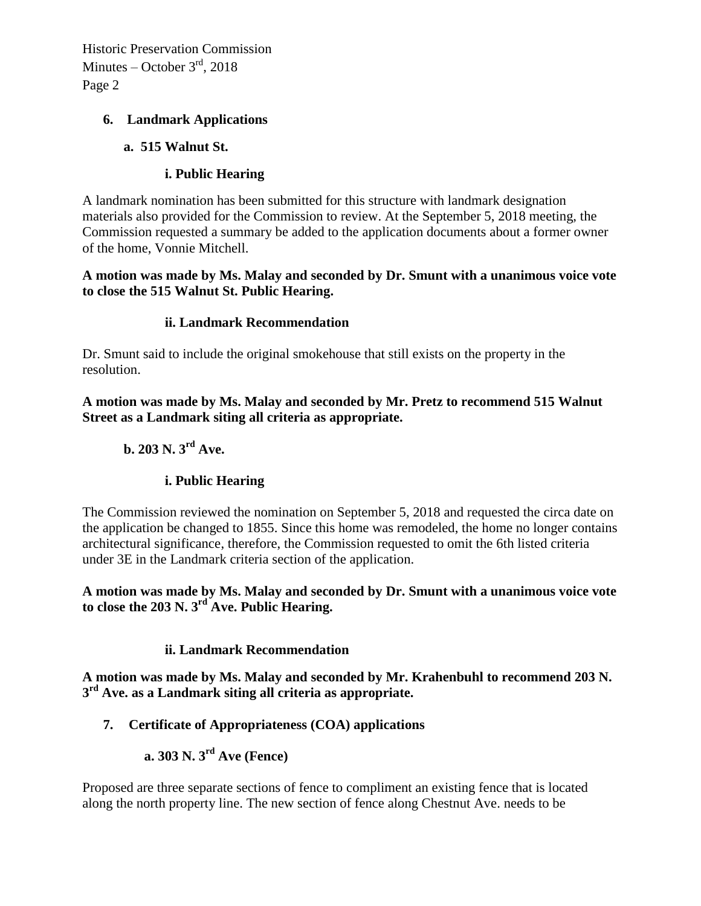### **6. Landmark Applications**

### **a. 515 Walnut St.**

# **i. Public Hearing**

A landmark nomination has been submitted for this structure with landmark designation materials also provided for the Commission to review. At the September 5, 2018 meeting, the Commission requested a summary be added to the application documents about a former owner of the home, Vonnie Mitchell.

### **A motion was made by Ms. Malay and seconded by Dr. Smunt with a unanimous voice vote to close the 515 Walnut St. Public Hearing.**

# **ii. Landmark Recommendation**

Dr. Smunt said to include the original smokehouse that still exists on the property in the resolution.

**A motion was made by Ms. Malay and seconded by Mr. Pretz to recommend 515 Walnut Street as a Landmark siting all criteria as appropriate.** 

# **b. 203 N. 3rd Ave.**

# **i. Public Hearing**

The Commission reviewed the nomination on September 5, 2018 and requested the circa date on the application be changed to 1855. Since this home was remodeled, the home no longer contains architectural significance, therefore, the Commission requested to omit the 6th listed criteria under 3E in the Landmark criteria section of the application.

**A motion was made by Ms. Malay and seconded by Dr. Smunt with a unanimous voice vote to close the 203 N. 3rd Ave. Public Hearing.**

# **ii. Landmark Recommendation**

**A motion was made by Ms. Malay and seconded by Mr. Krahenbuhl to recommend 203 N. 3 rd Ave. as a Landmark siting all criteria as appropriate.** 

# **7. Certificate of Appropriateness (COA) applications**

**a. 303 N. 3rd Ave (Fence)**

Proposed are three separate sections of fence to compliment an existing fence that is located along the north property line. The new section of fence along Chestnut Ave. needs to be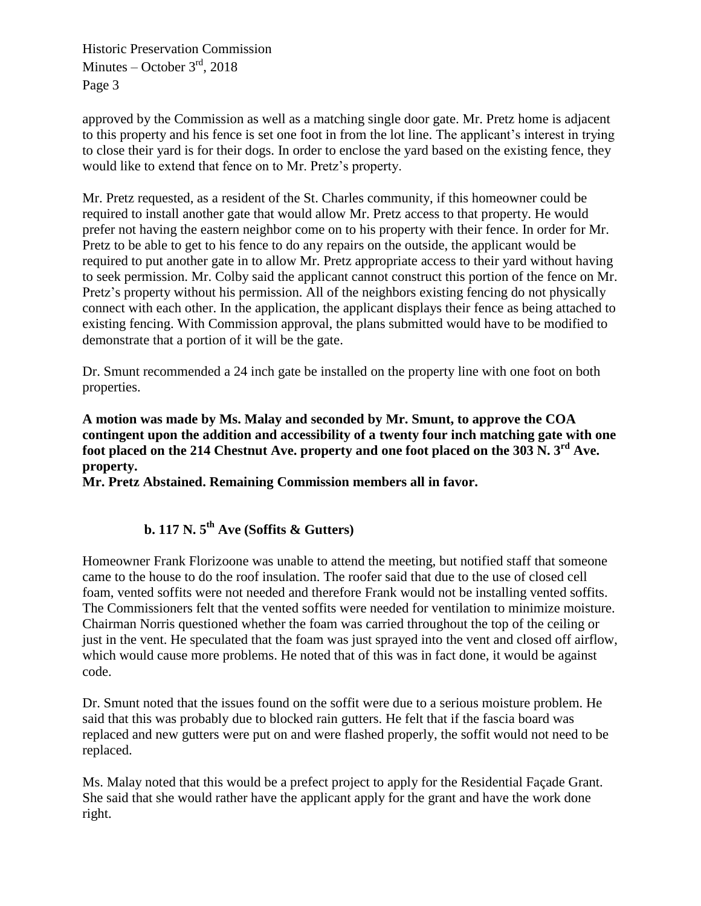approved by the Commission as well as a matching single door gate. Mr. Pretz home is adjacent to this property and his fence is set one foot in from the lot line. The applicant's interest in trying to close their yard is for their dogs. In order to enclose the yard based on the existing fence, they would like to extend that fence on to Mr. Pretz's property.

Mr. Pretz requested, as a resident of the St. Charles community, if this homeowner could be required to install another gate that would allow Mr. Pretz access to that property. He would prefer not having the eastern neighbor come on to his property with their fence. In order for Mr. Pretz to be able to get to his fence to do any repairs on the outside, the applicant would be required to put another gate in to allow Mr. Pretz appropriate access to their yard without having to seek permission. Mr. Colby said the applicant cannot construct this portion of the fence on Mr. Pretz's property without his permission. All of the neighbors existing fencing do not physically connect with each other. In the application, the applicant displays their fence as being attached to existing fencing. With Commission approval, the plans submitted would have to be modified to demonstrate that a portion of it will be the gate.

Dr. Smunt recommended a 24 inch gate be installed on the property line with one foot on both properties.

**A motion was made by Ms. Malay and seconded by Mr. Smunt, to approve the COA contingent upon the addition and accessibility of a twenty four inch matching gate with one foot placed on the 214 Chestnut Ave. property and one foot placed on the 303 N. 3rd Ave. property.** 

**Mr. Pretz Abstained. Remaining Commission members all in favor.**

# **b. 117 N. 5th Ave (Soffits & Gutters)**

Homeowner Frank Florizoone was unable to attend the meeting, but notified staff that someone came to the house to do the roof insulation. The roofer said that due to the use of closed cell foam, vented soffits were not needed and therefore Frank would not be installing vented soffits. The Commissioners felt that the vented soffits were needed for ventilation to minimize moisture. Chairman Norris questioned whether the foam was carried throughout the top of the ceiling or just in the vent. He speculated that the foam was just sprayed into the vent and closed off airflow, which would cause more problems. He noted that of this was in fact done, it would be against code.

Dr. Smunt noted that the issues found on the soffit were due to a serious moisture problem. He said that this was probably due to blocked rain gutters. He felt that if the fascia board was replaced and new gutters were put on and were flashed properly, the soffit would not need to be replaced.

Ms. Malay noted that this would be a prefect project to apply for the Residential Façade Grant. She said that she would rather have the applicant apply for the grant and have the work done right.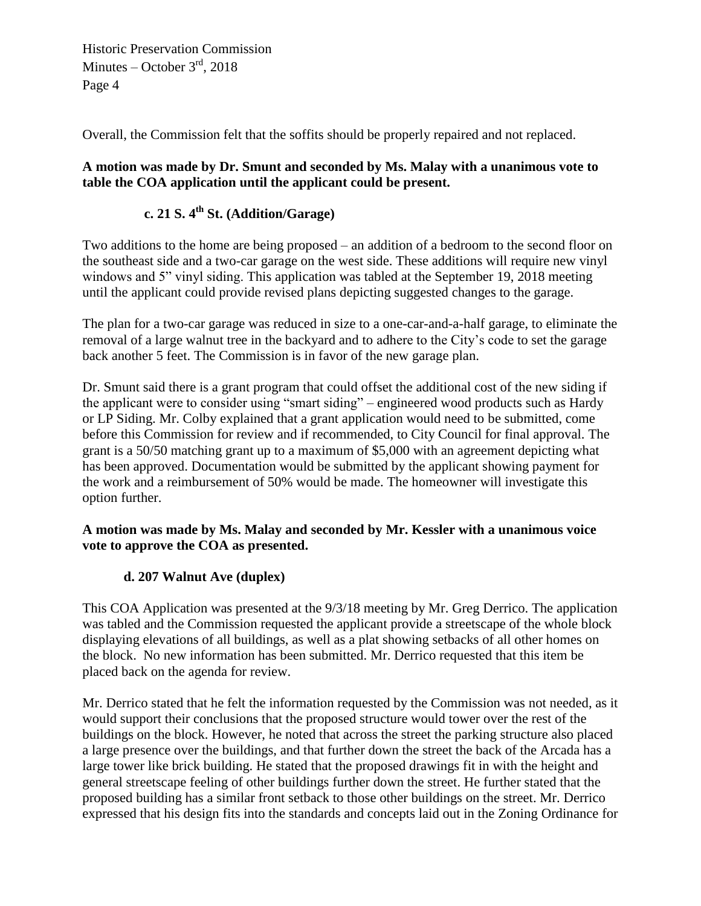Overall, the Commission felt that the soffits should be properly repaired and not replaced.

### **A motion was made by Dr. Smunt and seconded by Ms. Malay with a unanimous vote to table the COA application until the applicant could be present.**

# **c. 21 S. 4th St. (Addition/Garage)**

Two additions to the home are being proposed – an addition of a bedroom to the second floor on the southeast side and a two-car garage on the west side. These additions will require new vinyl windows and 5" vinyl siding. This application was tabled at the September 19, 2018 meeting until the applicant could provide revised plans depicting suggested changes to the garage.

The plan for a two-car garage was reduced in size to a one-car-and-a-half garage, to eliminate the removal of a large walnut tree in the backyard and to adhere to the City's code to set the garage back another 5 feet. The Commission is in favor of the new garage plan.

Dr. Smunt said there is a grant program that could offset the additional cost of the new siding if the applicant were to consider using "smart siding" – engineered wood products such as Hardy or LP Siding. Mr. Colby explained that a grant application would need to be submitted, come before this Commission for review and if recommended, to City Council for final approval. The grant is a 50/50 matching grant up to a maximum of \$5,000 with an agreement depicting what has been approved. Documentation would be submitted by the applicant showing payment for the work and a reimbursement of 50% would be made. The homeowner will investigate this option further.

### **A motion was made by Ms. Malay and seconded by Mr. Kessler with a unanimous voice vote to approve the COA as presented.**

# **d. 207 Walnut Ave (duplex)**

This COA Application was presented at the 9/3/18 meeting by Mr. Greg Derrico. The application was tabled and the Commission requested the applicant provide a streetscape of the whole block displaying elevations of all buildings, as well as a plat showing setbacks of all other homes on the block. No new information has been submitted. Mr. Derrico requested that this item be placed back on the agenda for review.

Mr. Derrico stated that he felt the information requested by the Commission was not needed, as it would support their conclusions that the proposed structure would tower over the rest of the buildings on the block. However, he noted that across the street the parking structure also placed a large presence over the buildings, and that further down the street the back of the Arcada has a large tower like brick building. He stated that the proposed drawings fit in with the height and general streetscape feeling of other buildings further down the street. He further stated that the proposed building has a similar front setback to those other buildings on the street. Mr. Derrico expressed that his design fits into the standards and concepts laid out in the Zoning Ordinance for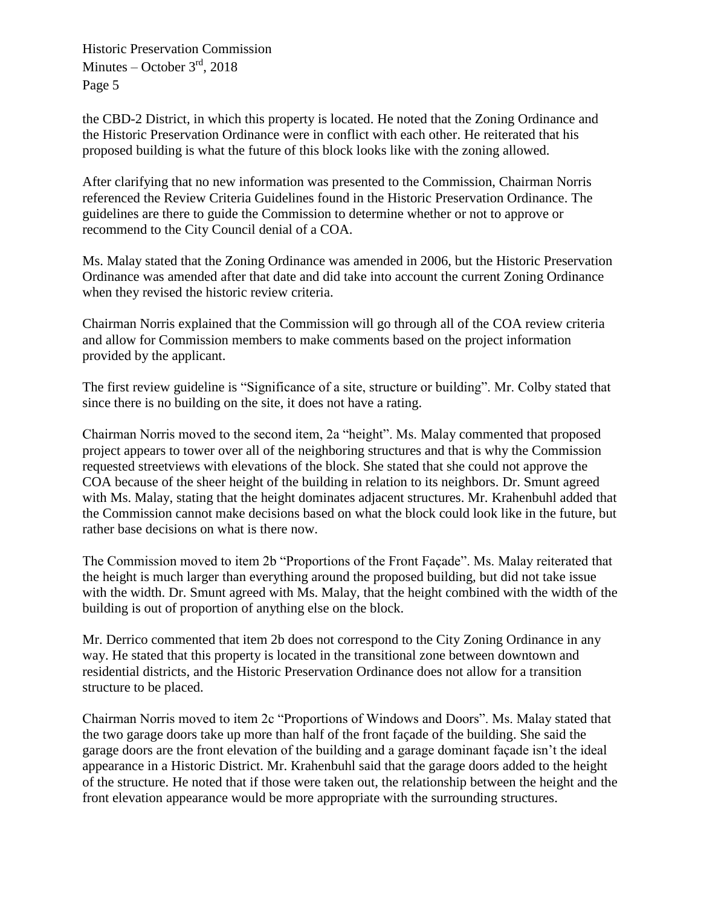the CBD-2 District, in which this property is located. He noted that the Zoning Ordinance and the Historic Preservation Ordinance were in conflict with each other. He reiterated that his proposed building is what the future of this block looks like with the zoning allowed.

After clarifying that no new information was presented to the Commission, Chairman Norris referenced the Review Criteria Guidelines found in the Historic Preservation Ordinance. The guidelines are there to guide the Commission to determine whether or not to approve or recommend to the City Council denial of a COA.

Ms. Malay stated that the Zoning Ordinance was amended in 2006, but the Historic Preservation Ordinance was amended after that date and did take into account the current Zoning Ordinance when they revised the historic review criteria.

Chairman Norris explained that the Commission will go through all of the COA review criteria and allow for Commission members to make comments based on the project information provided by the applicant.

The first review guideline is "Significance of a site, structure or building". Mr. Colby stated that since there is no building on the site, it does not have a rating.

Chairman Norris moved to the second item, 2a "height". Ms. Malay commented that proposed project appears to tower over all of the neighboring structures and that is why the Commission requested streetviews with elevations of the block. She stated that she could not approve the COA because of the sheer height of the building in relation to its neighbors. Dr. Smunt agreed with Ms. Malay, stating that the height dominates adjacent structures. Mr. Krahenbuhl added that the Commission cannot make decisions based on what the block could look like in the future, but rather base decisions on what is there now.

The Commission moved to item 2b "Proportions of the Front Façade". Ms. Malay reiterated that the height is much larger than everything around the proposed building, but did not take issue with the width. Dr. Smunt agreed with Ms. Malay, that the height combined with the width of the building is out of proportion of anything else on the block.

Mr. Derrico commented that item 2b does not correspond to the City Zoning Ordinance in any way. He stated that this property is located in the transitional zone between downtown and residential districts, and the Historic Preservation Ordinance does not allow for a transition structure to be placed.

Chairman Norris moved to item 2c "Proportions of Windows and Doors". Ms. Malay stated that the two garage doors take up more than half of the front façade of the building. She said the garage doors are the front elevation of the building and a garage dominant façade isn't the ideal appearance in a Historic District. Mr. Krahenbuhl said that the garage doors added to the height of the structure. He noted that if those were taken out, the relationship between the height and the front elevation appearance would be more appropriate with the surrounding structures.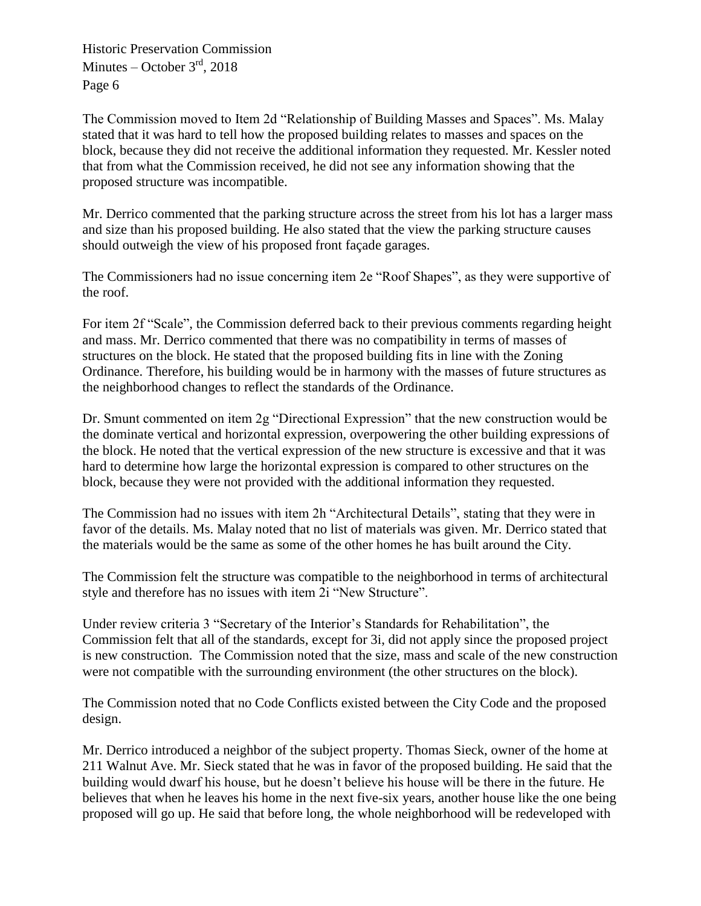The Commission moved to Item 2d "Relationship of Building Masses and Spaces". Ms. Malay stated that it was hard to tell how the proposed building relates to masses and spaces on the block, because they did not receive the additional information they requested. Mr. Kessler noted that from what the Commission received, he did not see any information showing that the proposed structure was incompatible.

Mr. Derrico commented that the parking structure across the street from his lot has a larger mass and size than his proposed building. He also stated that the view the parking structure causes should outweigh the view of his proposed front façade garages.

The Commissioners had no issue concerning item 2e "Roof Shapes", as they were supportive of the roof.

For item 2f "Scale", the Commission deferred back to their previous comments regarding height and mass. Mr. Derrico commented that there was no compatibility in terms of masses of structures on the block. He stated that the proposed building fits in line with the Zoning Ordinance. Therefore, his building would be in harmony with the masses of future structures as the neighborhood changes to reflect the standards of the Ordinance.

Dr. Smunt commented on item 2g "Directional Expression" that the new construction would be the dominate vertical and horizontal expression, overpowering the other building expressions of the block. He noted that the vertical expression of the new structure is excessive and that it was hard to determine how large the horizontal expression is compared to other structures on the block, because they were not provided with the additional information they requested.

The Commission had no issues with item 2h "Architectural Details", stating that they were in favor of the details. Ms. Malay noted that no list of materials was given. Mr. Derrico stated that the materials would be the same as some of the other homes he has built around the City.

The Commission felt the structure was compatible to the neighborhood in terms of architectural style and therefore has no issues with item 2i "New Structure".

Under review criteria 3 "Secretary of the Interior's Standards for Rehabilitation", the Commission felt that all of the standards, except for 3i, did not apply since the proposed project is new construction. The Commission noted that the size, mass and scale of the new construction were not compatible with the surrounding environment (the other structures on the block).

The Commission noted that no Code Conflicts existed between the City Code and the proposed design.

Mr. Derrico introduced a neighbor of the subject property. Thomas Sieck, owner of the home at 211 Walnut Ave. Mr. Sieck stated that he was in favor of the proposed building. He said that the building would dwarf his house, but he doesn't believe his house will be there in the future. He believes that when he leaves his home in the next five-six years, another house like the one being proposed will go up. He said that before long, the whole neighborhood will be redeveloped with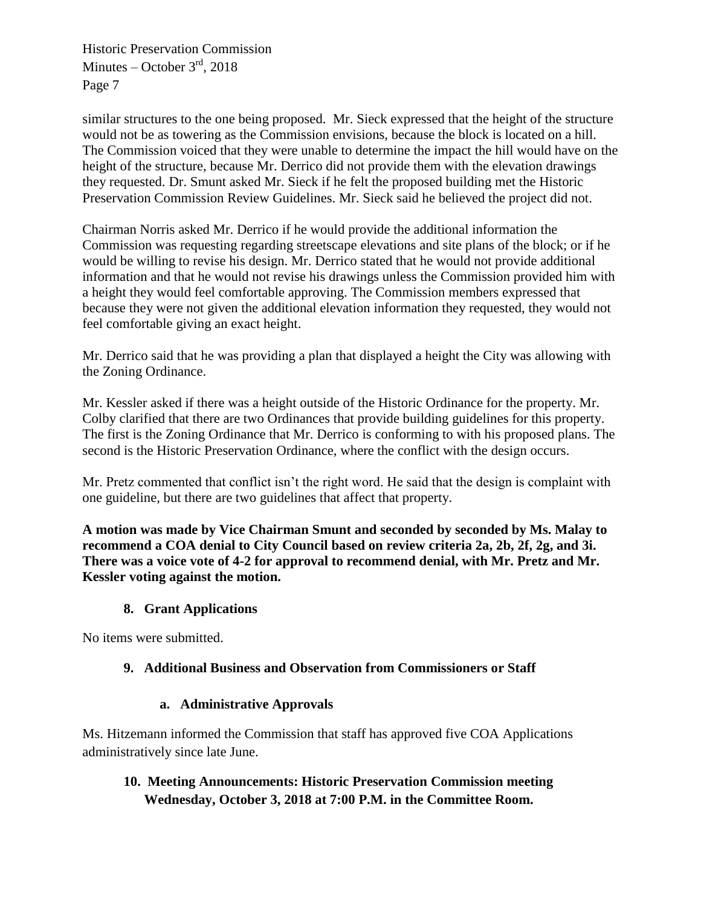similar structures to the one being proposed. Mr. Sieck expressed that the height of the structure would not be as towering as the Commission envisions, because the block is located on a hill. The Commission voiced that they were unable to determine the impact the hill would have on the height of the structure, because Mr. Derrico did not provide them with the elevation drawings they requested. Dr. Smunt asked Mr. Sieck if he felt the proposed building met the Historic Preservation Commission Review Guidelines. Mr. Sieck said he believed the project did not.

Chairman Norris asked Mr. Derrico if he would provide the additional information the Commission was requesting regarding streetscape elevations and site plans of the block; or if he would be willing to revise his design. Mr. Derrico stated that he would not provide additional information and that he would not revise his drawings unless the Commission provided him with a height they would feel comfortable approving. The Commission members expressed that because they were not given the additional elevation information they requested, they would not feel comfortable giving an exact height.

Mr. Derrico said that he was providing a plan that displayed a height the City was allowing with the Zoning Ordinance.

Mr. Kessler asked if there was a height outside of the Historic Ordinance for the property. Mr. Colby clarified that there are two Ordinances that provide building guidelines for this property. The first is the Zoning Ordinance that Mr. Derrico is conforming to with his proposed plans. The second is the Historic Preservation Ordinance, where the conflict with the design occurs.

Mr. Pretz commented that conflict isn't the right word. He said that the design is complaint with one guideline, but there are two guidelines that affect that property.

**A motion was made by Vice Chairman Smunt and seconded by seconded by Ms. Malay to recommend a COA denial to City Council based on review criteria 2a, 2b, 2f, 2g, and 3i. There was a voice vote of 4-2 for approval to recommend denial, with Mr. Pretz and Mr. Kessler voting against the motion.** 

# **8. Grant Applications**

No items were submitted.

# **9. Additional Business and Observation from Commissioners or Staff**

# **a. Administrative Approvals**

Ms. Hitzemann informed the Commission that staff has approved five COA Applications administratively since late June.

# **10. Meeting Announcements: Historic Preservation Commission meeting Wednesday, October 3, 2018 at 7:00 P.M. in the Committee Room.**